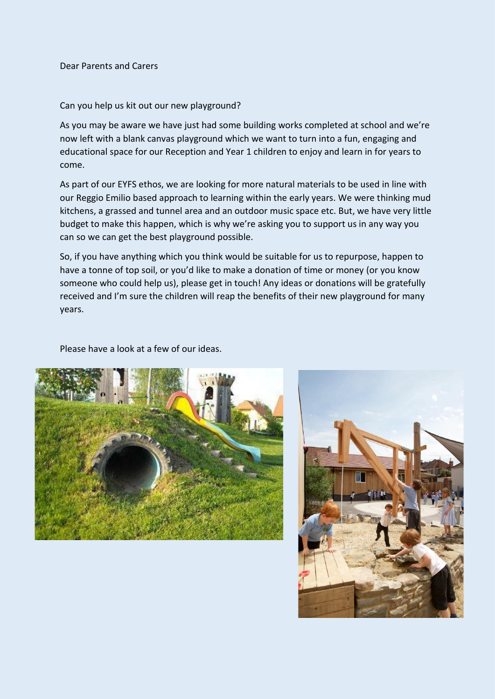Dear Parents and Carers

Can you help us kit out our new playground?

As you may be aware we have just had some building works completed at school and we're now left with a blank canvas playground which we want to turn into a fun, engaging and educational space for our Reception and Year 1 children to enjoy and learn in for years to come.

As part of our EYFS ethos, we are looking for more natural materials to be used in line with our Reggio Emilio based approach to learning within the early years. We were thinking mud kitchens, a grassed and tunnel area and an outdoor music space etc. But, we have very little budget to make this happen, which is why we're asking you to support us in any way you can so we can get the best playground possible.

So, if you have anything which you think would be suitable for us to repurpose, happen to have a tonne of top soil, or you'd like to make a donation of time or money (or you know someone who could help us), please get in touch! Any ideas or donations will be gratefully received and I'm sure the children will reap the benefits of their new playground for many years.

Please have a look at a few of our ideas.